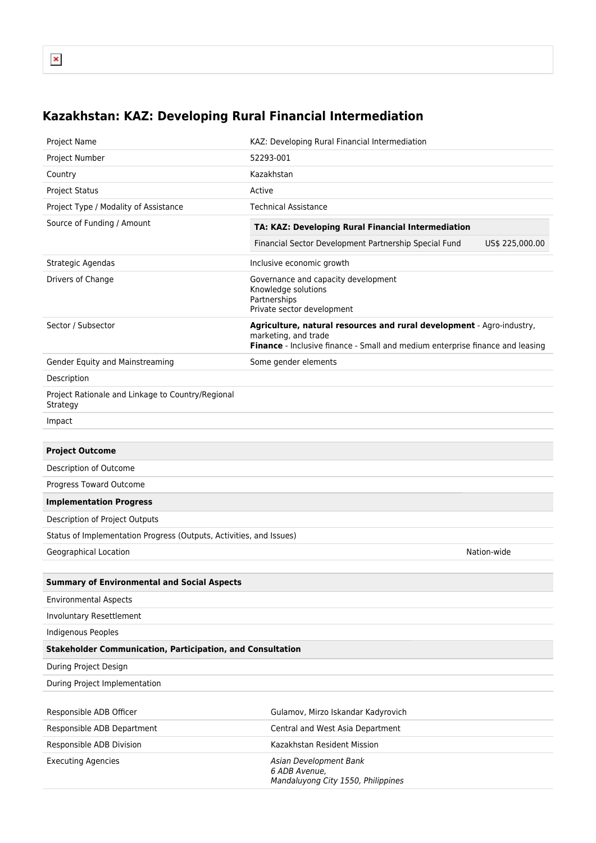## **Kazakhstan: KAZ: Developing Rural Financial Intermediation**

| Project Name                                                        | KAZ: Developing Rural Financial Intermediation                                                                                                                                 |
|---------------------------------------------------------------------|--------------------------------------------------------------------------------------------------------------------------------------------------------------------------------|
| Project Number                                                      | 52293-001                                                                                                                                                                      |
| Country                                                             | Kazakhstan                                                                                                                                                                     |
| <b>Project Status</b>                                               | Active                                                                                                                                                                         |
| Project Type / Modality of Assistance                               | <b>Technical Assistance</b>                                                                                                                                                    |
| Source of Funding / Amount                                          | TA: KAZ: Developing Rural Financial Intermediation                                                                                                                             |
|                                                                     | Financial Sector Development Partnership Special Fund<br>US\$ 225,000.00                                                                                                       |
| Strategic Agendas                                                   | Inclusive economic growth                                                                                                                                                      |
| Drivers of Change                                                   | Governance and capacity development<br>Knowledge solutions<br>Partnerships<br>Private sector development                                                                       |
| Sector / Subsector                                                  | Agriculture, natural resources and rural development - Agro-industry,<br>marketing, and trade<br>Finance - Inclusive finance - Small and medium enterprise finance and leasing |
| Gender Equity and Mainstreaming                                     | Some gender elements                                                                                                                                                           |
| Description                                                         |                                                                                                                                                                                |
| Project Rationale and Linkage to Country/Regional<br>Strategy       |                                                                                                                                                                                |
| Impact                                                              |                                                                                                                                                                                |
|                                                                     |                                                                                                                                                                                |
| <b>Project Outcome</b>                                              |                                                                                                                                                                                |
| Description of Outcome                                              |                                                                                                                                                                                |
| Progress Toward Outcome                                             |                                                                                                                                                                                |
| <b>Implementation Progress</b>                                      |                                                                                                                                                                                |
| Description of Project Outputs                                      |                                                                                                                                                                                |
| Status of Implementation Progress (Outputs, Activities, and Issues) |                                                                                                                                                                                |
| Geographical Location                                               | Nation-wide                                                                                                                                                                    |
| <b>Summary of Environmental and Social Aspects</b>                  |                                                                                                                                                                                |
| <b>Environmental Aspects</b>                                        |                                                                                                                                                                                |
| Involuntary Resettlement                                            |                                                                                                                                                                                |
| <b>Indigenous Peoples</b>                                           |                                                                                                                                                                                |
| <b>Stakeholder Communication, Participation, and Consultation</b>   |                                                                                                                                                                                |
| During Project Design                                               |                                                                                                                                                                                |
| During Project Implementation                                       |                                                                                                                                                                                |
|                                                                     |                                                                                                                                                                                |
| Responsible ADB Officer                                             | Gulamov, Mirzo Iskandar Kadyrovich                                                                                                                                             |
| Responsible ADB Department                                          | Central and West Asia Department                                                                                                                                               |
| Responsible ADB Division                                            | Kazakhstan Resident Mission                                                                                                                                                    |
| <b>Executing Agencies</b>                                           | Asian Development Bank<br>6 ADB Avenue,<br>Mandaluyong City 1550, Philippines                                                                                                  |